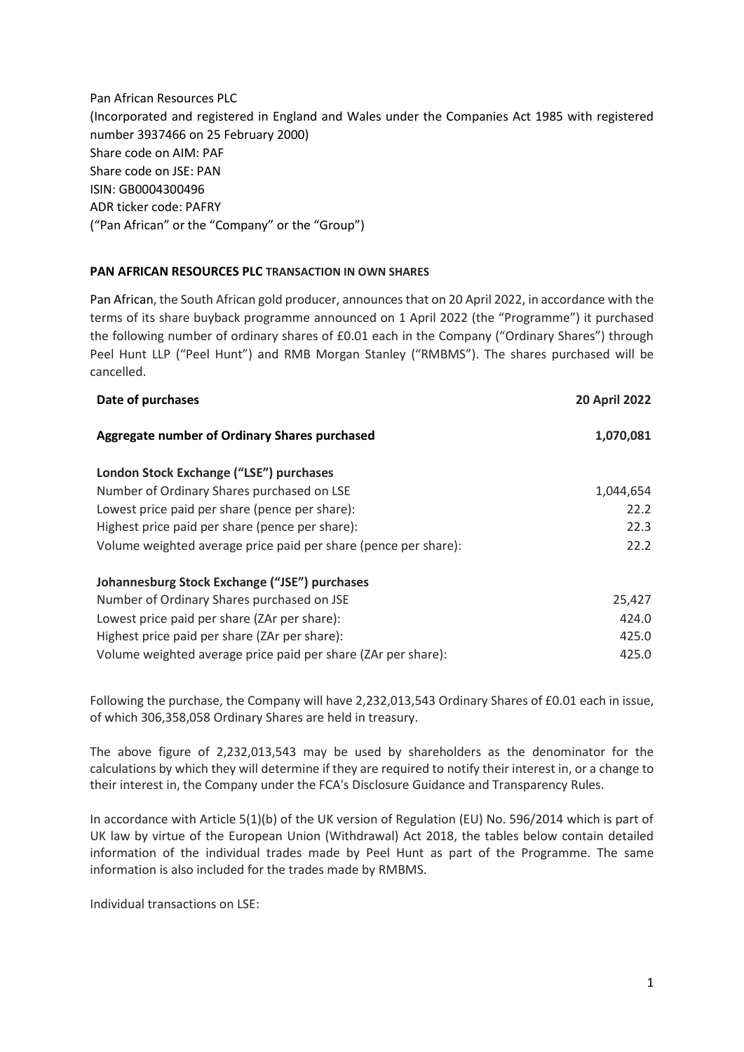Pan African Resources PLC (Incorporated and registered in England and Wales under the Companies Act 1985 with registered number 3937466 on 25 February 2000) Share code on AIM: PAF Share code on JSE: PAN ISIN: GB0004300496 ADR ticker code: PAFRY ("Pan African" or the "Company" or the "Group")

## **PAN AFRICAN RESOURCES PLC TRANSACTION IN OWN SHARES**

Pan African, the South African gold producer, announces that on 20 April 2022, in accordance with the terms of its share buyback programme announced on 1 April 2022 (the "Programme") it purchased the following number of ordinary shares of £0.01 each in the Company ("Ordinary Shares") through Peel Hunt LLP ("Peel Hunt") and RMB Morgan Stanley ("RMBMS"). The shares purchased will be cancelled.

| Date of purchases                                               |           |
|-----------------------------------------------------------------|-----------|
| Aggregate number of Ordinary Shares purchased                   | 1,070,081 |
| London Stock Exchange ("LSE") purchases                         |           |
| Number of Ordinary Shares purchased on LSE                      | 1,044,654 |
| Lowest price paid per share (pence per share):                  | 22.2      |
| Highest price paid per share (pence per share):                 | 22.3      |
| Volume weighted average price paid per share (pence per share): | 22.2      |
| Johannesburg Stock Exchange ("JSE") purchases                   |           |
| Number of Ordinary Shares purchased on JSE                      | 25,427    |
| Lowest price paid per share (ZAr per share):                    | 424.0     |
| Highest price paid per share (ZAr per share):                   | 425.0     |
| Volume weighted average price paid per share (ZAr per share):   | 425.0     |

Following the purchase, the Company will have 2,232,013,543 Ordinary Shares of £0.01 each in issue, of which 306,358,058 Ordinary Shares are held in treasury.

The above figure of 2,232,013,543 may be used by shareholders as the denominator for the calculations by which they will determine if they are required to notify their interest in, or a change to their interest in, the Company under the FCA's Disclosure Guidance and Transparency Rules.

In accordance with Article 5(1)(b) of the UK version of Regulation (EU) No. 596/2014 which is part of UK law by virtue of the European Union (Withdrawal) Act 2018, the tables below contain detailed information of the individual trades made by Peel Hunt as part of the Programme. The same information is also included for the trades made by RMBMS.

Individual transactions on LSE: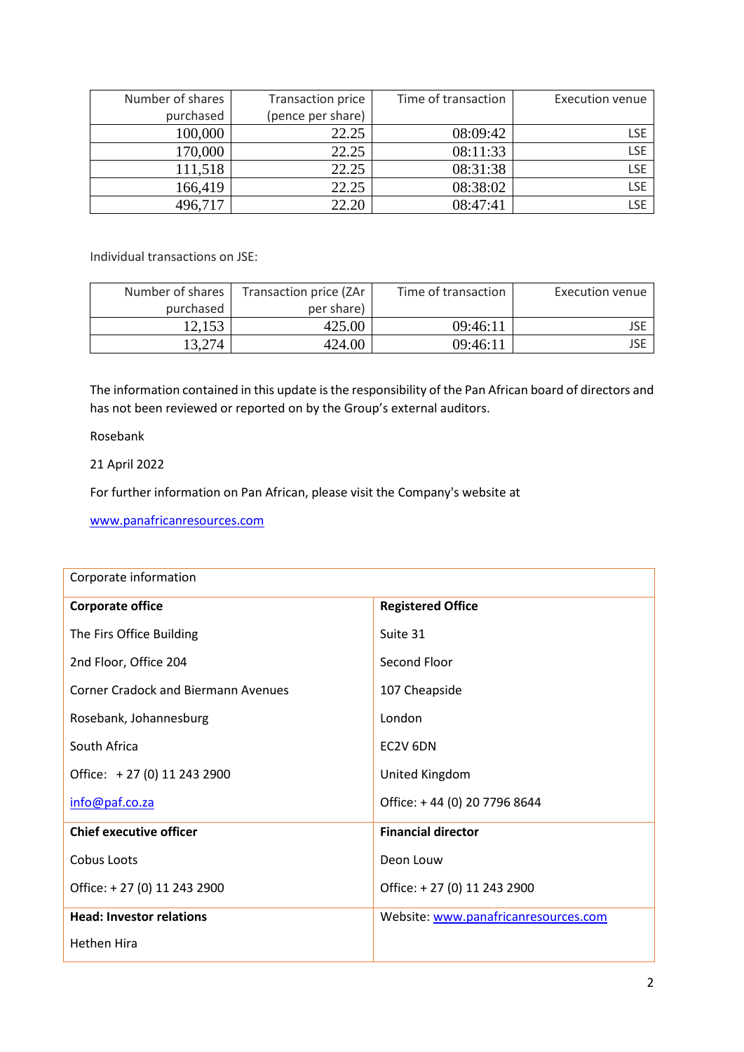| Number of shares | Transaction price | Time of transaction | <b>Execution venue</b> |
|------------------|-------------------|---------------------|------------------------|
| purchased        | (pence per share) |                     |                        |
| 100,000          | 22.25             | 08:09:42            | <b>LSE</b>             |
| 170,000          | 22.25             | 08:11:33            | <b>LSE</b>             |
| 111,518          | 22.25             | 08:31:38            | <b>LSE</b>             |
| 166,419          | 22.25             | 08:38:02            | LSE                    |
| 496,717          | 22.20             | 08:47:41            | LSE                    |

Individual transactions on JSE:

| Number of shares | Transaction price (ZAr | Time of transaction | Execution venue |
|------------------|------------------------|---------------------|-----------------|
| purchased        | per share)             |                     |                 |
| 12.153           | 425.00                 | 09:46:11            | JSE             |
| 13,274           | 424.00                 | 09:46:11            | JSE             |

The information contained in this update is the responsibility of the Pan African board of directors and has not been reviewed or reported on by the Group's external auditors.

Rosebank

21 April 2022

For further information on Pan African, please visit the Company's website at

[www.panafricanresources.com](http://www.panafricanresources.com/)

| Corporate information                      |                                      |  |  |
|--------------------------------------------|--------------------------------------|--|--|
| <b>Corporate office</b>                    | <b>Registered Office</b>             |  |  |
| The Firs Office Building                   | Suite 31                             |  |  |
| 2nd Floor, Office 204                      | Second Floor                         |  |  |
| <b>Corner Cradock and Biermann Avenues</b> | 107 Cheapside                        |  |  |
| Rosebank, Johannesburg                     | London                               |  |  |
| South Africa                               | EC2V 6DN                             |  |  |
| Office: +27 (0) 11 243 2900                | United Kingdom                       |  |  |
| info@paf.co.za                             | Office: +44 (0) 20 7796 8644         |  |  |
| <b>Chief executive officer</b>             | <b>Financial director</b>            |  |  |
| Cobus Loots                                | Deon Louw                            |  |  |
| Office: +27 (0) 11 243 2900                | Office: +27 (0) 11 243 2900          |  |  |
| <b>Head: Investor relations</b>            | Website: www.panafricanresources.com |  |  |
| <b>Hethen Hira</b>                         |                                      |  |  |